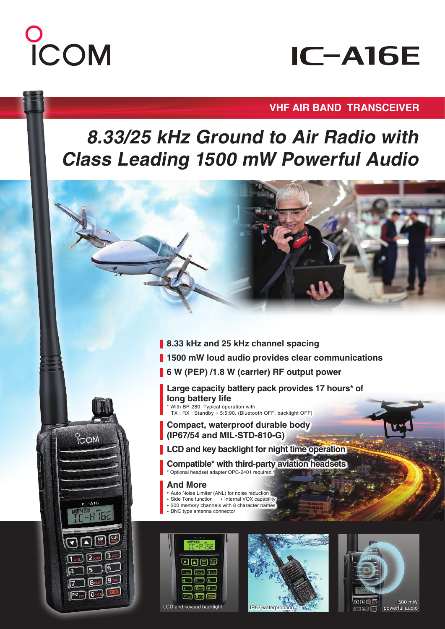# COM

**PCOM** 

 $IC-A16$ 

 $\overline{O}$  121.5

## **IC-A16E**

#### **VHF AIR BAND TRANSCEIVER**

### **8.33/25 kHz Ground to Air Radio with Class Leading 1500 mW Powerful Audio**

- **8.33 kHz and 25 kHz channel spacing**
- **1500 mW loud audio provides clear communications**
- **6 W (PEP) /1.8 W (carrier) RF output power**
	- **Large capacity battery pack provides 17 hours\* of long battery life** \* With BP-280. Typical operation with

TX : RX : Standby = 5:5:90. (Bluetooth OFF, backlight OFF)

- **Compact, waterproof durable body (IP67/54 and MIL-STD-810-G)**
- **LCD and key backlight for night time operation**
	- **Compatible\* with third-party aviation headsets**  \* Optional headset adapter OPC-2401 required.

#### **And More**

- **・** Auto Noise Limiter (ANL) for noise reduction
- **・** Side Tone function **・** Internal VOX capability **・** 200 memory channels with 8 character names
- **・** BNC type antenna connector
-